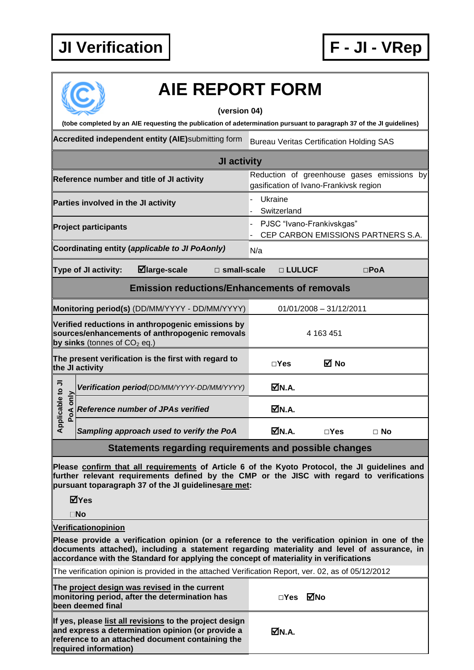## **JI Verification F - JI - VRep**



## **AIE REPORT FORM**

## **(version 04)**

| (tobe completed by an AIE requesting the publication of adetermination pursuant to paragraph 37 of the JI guidelines) |                                                                                                                                       |                                                                                      |  |  |  |  |  |
|-----------------------------------------------------------------------------------------------------------------------|---------------------------------------------------------------------------------------------------------------------------------------|--------------------------------------------------------------------------------------|--|--|--|--|--|
|                                                                                                                       | Accredited independent entity (AIE)submitting form                                                                                    | <b>Bureau Veritas Certification Holding SAS</b>                                      |  |  |  |  |  |
| JI activity                                                                                                           |                                                                                                                                       |                                                                                      |  |  |  |  |  |
|                                                                                                                       | Reference number and title of JI activity                                                                                             | Reduction of greenhouse gases emissions by<br>gasification of Ivano-Frankivsk region |  |  |  |  |  |
|                                                                                                                       | Parties involved in the JI activity                                                                                                   | Ukraine<br>Switzerland                                                               |  |  |  |  |  |
|                                                                                                                       | <b>Project participants</b>                                                                                                           | PJSC "Ivano-Frankivskgas"<br>CEP CARBON EMISSIONS PARTNERS S.A.                      |  |  |  |  |  |
|                                                                                                                       | Coordinating entity (applicable to JI PoAonly)                                                                                        | N/a                                                                                  |  |  |  |  |  |
| $\boxdot$ large-scale<br>Type of JI activity:<br>$\square$ small-scale<br>□ LULUCF<br>$\square$ PoA                   |                                                                                                                                       |                                                                                      |  |  |  |  |  |
| <b>Emission reductions/Enhancements of removals</b>                                                                   |                                                                                                                                       |                                                                                      |  |  |  |  |  |
|                                                                                                                       | Monitoring period(s) (DD/MM/YYYY - DD/MM/YYYY)                                                                                        | $01/01/2008 - 31/12/2011$                                                            |  |  |  |  |  |
|                                                                                                                       | Verified reductions in anthropogenic emissions by<br>sources/enhancements of anthropogenic removals<br>by sinks (tonnes of $CO2$ eq.) | 4 163 451                                                                            |  |  |  |  |  |
|                                                                                                                       | The present verification is the first with regard to<br>the JI activity                                                               | ⊠ No<br>$\Box$ Yes                                                                   |  |  |  |  |  |
| Applicable to JI<br>only<br>PoA                                                                                       | Verification period(DD/MM/YYYY-DD/MM/YYYY)                                                                                            | MN.A.                                                                                |  |  |  |  |  |
|                                                                                                                       | <b>Reference number of JPAs verified</b>                                                                                              | M.A.                                                                                 |  |  |  |  |  |
|                                                                                                                       | Sampling approach used to verify the PoA                                                                                              | ØN.A.<br>$\Box$ Yes<br>$\Box$ No                                                     |  |  |  |  |  |
| Statements regarding requirements and possible changes                                                                |                                                                                                                                       |                                                                                      |  |  |  |  |  |

**Please confirm that all requirements of Article 6 of the Kyoto Protocol, the JI guidelines and further relevant requirements defined by the CMP or the JISC with regard to verifications pursuant toparagraph 37 of the JI guidelinesare met:**

**Yes**

**No**

**Verificationopinion**

**Please provide a verification opinion (or a reference to the verification opinion in one of the documents attached), including a statement regarding materiality and level of assurance, in accordance with the Standard for applying the concept of materiality in verifications**

The verification opinion is provided in the attached Verification Report, ver. 02, as of 05/12/2012

| The project design was revised in the current<br>monitoring period, after the determination has<br>been deemed final                                                                      | □Yes ØNo |  |
|-------------------------------------------------------------------------------------------------------------------------------------------------------------------------------------------|----------|--|
| If yes, please list all revisions to the project design<br>and express a determination opinion (or provide a<br>reference to an attached document containing the<br>required information) | MM.A.    |  |